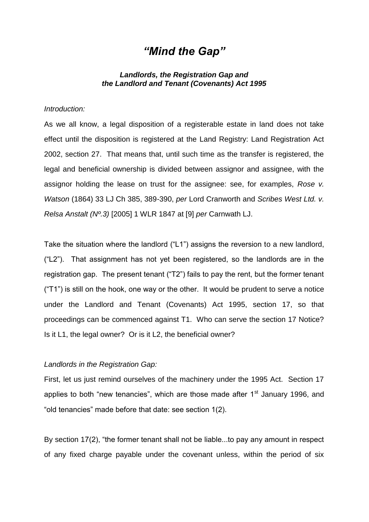# *"Mind the Gap"*

# *Landlords, the Registration Gap and the Landlord and Tenant (Covenants) Act 1995*

## *Introduction:*

As we all know, a legal disposition of a registerable estate in land does not take effect until the disposition is registered at the Land Registry: Land Registration Act 2002, section 27. That means that, until such time as the transfer is registered, the legal and beneficial ownership is divided between assignor and assignee, with the assignor holding the lease on trust for the assignee: see, for examples, *Rose v. Watson* (1864) 33 LJ Ch 385, 389-390, *per* Lord Cranworth and *Scribes West Ltd. v. Relsa Anstalt (Nº.3)* [2005] 1 WLR 1847 at [9] *per* Carnwath LJ.

Take the situation where the landlord ("L1") assigns the reversion to a new landlord, ("L2"). That assignment has not yet been registered, so the landlords are in the registration gap. The present tenant ("T2") fails to pay the rent, but the former tenant ("T1") is still on the hook, one way or the other. It would be prudent to serve a notice under the Landlord and Tenant (Covenants) Act 1995, section 17, so that proceedings can be commenced against T1. Who can serve the section 17 Notice? Is it L1, the legal owner? Or is it L2, the beneficial owner?

#### *Landlords in the Registration Gap:*

First, let us just remind ourselves of the machinery under the 1995 Act. Section 17 applies to both "new tenancies", which are those made after  $1<sup>st</sup>$  January 1996, and "old tenancies" made before that date: see section 1(2).

By section 17(2), "the former tenant shall not be liable...to pay any amount in respect of any fixed charge payable under the covenant unless, within the period of six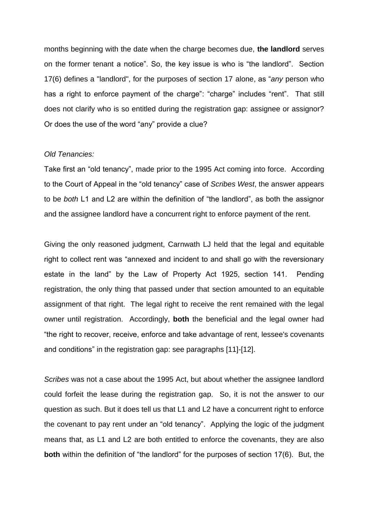months beginning with the date when the charge becomes due, **the landlord** serves on the former tenant a notice". So, the key issue is who is "the landlord". Section 17(6) defines a "landlord", for the purposes of section 17 alone, as "*any* person who has a right to enforce payment of the charge": "charge" includes "rent". That still does not clarify who is so entitled during the registration gap: assignee or assignor? Or does the use of the word "any" provide a clue?

## *Old Tenancies:*

Take first an "old tenancy", made prior to the 1995 Act coming into force. According to the Court of Appeal in the "old tenancy" case of *Scribes West*, the answer appears to be *both* L1 and L2 are within the definition of "the landlord", as both the assignor and the assignee landlord have a concurrent right to enforce payment of the rent.

Giving the only reasoned judgment, Carnwath LJ held that the legal and equitable right to collect rent was "annexed and incident to and shall go with the reversionary estate in the land" by the Law of Property Act 1925, section 141. Pending registration, the only thing that passed under that section amounted to an equitable assignment of that right. The legal right to receive the rent remained with the legal owner until registration. Accordingly, **both** the beneficial and the legal owner had "the right to recover, receive, enforce and take advantage of rent, lessee's covenants and conditions" in the registration gap: see paragraphs [11]-[12].

*Scribes* was not a case about the 1995 Act, but about whether the assignee landlord could forfeit the lease during the registration gap. So, it is not the answer to our question as such. But it does tell us that L1 and L2 have a concurrent right to enforce the covenant to pay rent under an "old tenancy". Applying the logic of the judgment means that, as L1 and L2 are both entitled to enforce the covenants, they are also **both** within the definition of "the landlord" for the purposes of section 17(6). But, the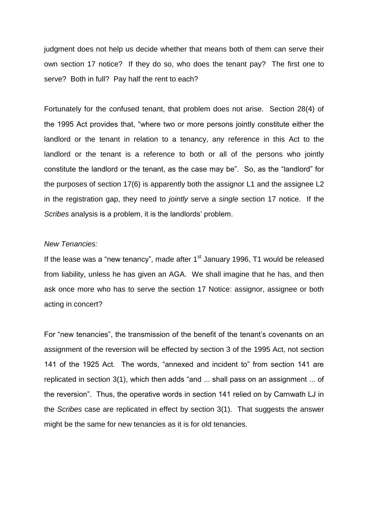judgment does not help us decide whether that means both of them can serve their own section 17 notice? If they do so, who does the tenant pay? The first one to serve? Both in full? Pay half the rent to each?

Fortunately for the confused tenant, that problem does not arise. Section 28(4) of the 1995 Act provides that, "where two or more persons jointly constitute either the landlord or the tenant in relation to a tenancy, any reference in this Act to the landlord or the tenant is a reference to both or all of the persons who jointly constitute the landlord or the tenant, as the case may be". So, as the "landlord" for the purposes of section 17(6) is apparently both the assignor L1 and the assignee L2 in the registration gap, they need to *jointly* serve a *single* section 17 notice. If the *Scribes* analysis is a problem, it is the landlords' problem.

## *New Tenancies:*

If the lease was a "new tenancy", made after  $1<sup>st</sup>$  January 1996, T1 would be released from liability, unless he has given an AGA. We shall imagine that he has, and then ask once more who has to serve the section 17 Notice: assignor, assignee or both acting in concert?

For "new tenancies", the transmission of the benefit of the tenant's covenants on an assignment of the reversion will be effected by section 3 of the 1995 Act, not section 141 of the 1925 Act. The words, "annexed and incident to" from section 141 are replicated in section 3(1), which then adds "and ... shall pass on an assignment ... of the reversion". Thus, the operative words in section 141 relied on by Carnwath LJ in the *Scribes* case are replicated in effect by section 3(1). That suggests the answer might be the same for new tenancies as it is for old tenancies.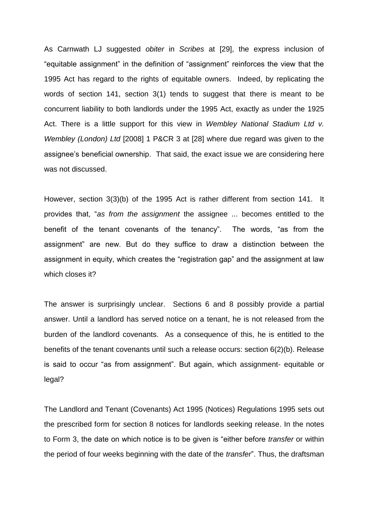As Carnwath LJ suggested *obiter* in *Scribes* at [29], the express inclusion of "equitable assignment" in the definition of "assignment" reinforces the view that the 1995 Act has regard to the rights of equitable owners. Indeed, by replicating the words of section 141, section 3(1) tends to suggest that there is meant to be concurrent liability to both landlords under the 1995 Act, exactly as under the 1925 Act. There is a little support for this view in *Wembley National Stadium Ltd v. Wembley (London) Ltd* [2008] 1 P&CR 3 at [28] where due regard was given to the assignee's beneficial ownership. That said, the exact issue we are considering here was not discussed.

However, section 3(3)(b) of the 1995 Act is rather different from section 141. It provides that, "*as from the assignment* the assignee ... becomes entitled to the benefit of the tenant covenants of the tenancy". The words, "as from the assignment" are new. But do they suffice to draw a distinction between the assignment in equity, which creates the "registration gap" and the assignment at law which closes it?

The answer is surprisingly unclear. Sections 6 and 8 possibly provide a partial answer. Until a landlord has served notice on a tenant, he is not released from the burden of the landlord covenants. As a consequence of this, he is entitled to the benefits of the tenant covenants until such a release occurs: section 6(2)(b). Release is said to occur "as from assignment". But again, which assignment- equitable or legal?

The Landlord and Tenant (Covenants) Act 1995 (Notices) Regulations 1995 sets out the prescribed form for section 8 notices for landlords seeking release. In the notes to Form 3, the date on which notice is to be given is "either before *transfer* or within the period of four weeks beginning with the date of the *transfer*". Thus, the draftsman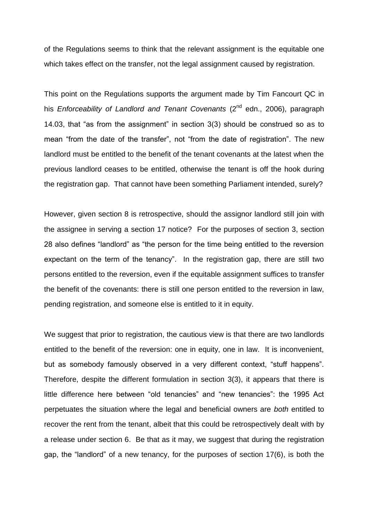of the Regulations seems to think that the relevant assignment is the equitable one which takes effect on the transfer, not the legal assignment caused by registration.

This point on the Regulations supports the argument made by Tim Fancourt QC in his *Enforceability of Landlord and Tenant Covenants* (2<sup>nd</sup> edn., 2006), paragraph 14.03, that "as from the assignment" in section 3(3) should be construed so as to mean "from the date of the transfer", not "from the date of registration". The new landlord must be entitled to the benefit of the tenant covenants at the latest when the previous landlord ceases to be entitled, otherwise the tenant is off the hook during the registration gap. That cannot have been something Parliament intended, surely?

However, given section 8 is retrospective, should the assignor landlord still join with the assignee in serving a section 17 notice? For the purposes of section 3, section 28 also defines "landlord" as "the person for the time being entitled to the reversion expectant on the term of the tenancy". In the registration gap, there are still two persons entitled to the reversion, even if the equitable assignment suffices to transfer the benefit of the covenants: there is still one person entitled to the reversion in law, pending registration, and someone else is entitled to it in equity.

We suggest that prior to registration, the cautious view is that there are two landlords entitled to the benefit of the reversion: one in equity, one in law. It is inconvenient, but as somebody famously observed in a very different context, "stuff happens". Therefore, despite the different formulation in section 3(3), it appears that there is little difference here between "old tenancies" and "new tenancies": the 1995 Act perpetuates the situation where the legal and beneficial owners are *both* entitled to recover the rent from the tenant, albeit that this could be retrospectively dealt with by a release under section 6. Be that as it may, we suggest that during the registration gap, the "landlord" of a new tenancy, for the purposes of section 17(6), is both the